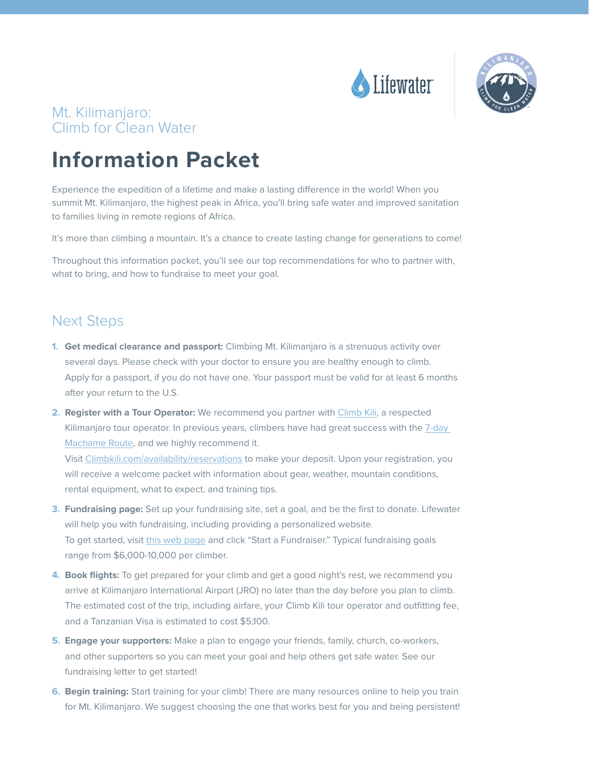



### Mt. Kilimanjaro: Climb for Clean Water

# **Information Packet**

Experience the expedition of a lifetime and make a lasting difference in the world! When you summit Mt. Kilimanjaro, the highest peak in Africa, you'll bring safe water and improved sanitation to families living in remote regions of Africa.

It's more than climbing a mountain. It's a chance to create lasting change for generations to come!

Throughout this information packet, you'll see our top recommendations for who to partner with, what to bring, and how to fundraise to meet your goal.

### Next Steps

- **1. Get medical clearance and passport:** Climbing Mt. Kilimanjaro is a strenuous activity over several days. Please check with your doctor to ensure you are healthy enough to climb. Apply for a passport, if you do not have one. Your passport must be valid for at least 6 months after your return to the U.S.
- **2. Register with a Tour Operator:** We recommend you partner with [Climb Kili,](http://https://climbkili.com/) a respected Kilimanjaro tour operator. In previous years, climbers have had great success with the [7-day](https://climbkili.com/7-day-machame/)  [Machame Route](https://climbkili.com/7-day-machame/), and we highly recommend it.

Visit [Climbkili.com/availability/reservations](http://Climbkili.com/availability/reservations) to make your deposit. Upon your registration, you will receive a welcome packet with information about gear, weather, mountain conditions, rental equipment, what to expect, and training tips.

- **3. Fundraising page:** Set up your fundraising site, set a goal, and be the first to donate. Lifewater will help you with fundraising, including providing a personalized website. To get started, visit [this web page](https://give.lifewater.org/campaign/mt-kilimanjaro-climb-for-clean-water/c233200) and click "Start a Fundraiser." Typical fundraising goals range from \$6,000-10,000 per climber.
- **4. Book flights:** To get prepared for your climb and get a good night's rest, we recommend you arrive at Kilimanjaro International Airport (JRO) no later than the day before you plan to climb. The estimated cost of the trip, including airfare, your Climb Kili tour operator and outfitting fee, and a Tanzanian Visa is estimated to cost \$5,100.
- **5. Engage your supporters:** Make a plan to engage your friends, family, church, co-workers, and other supporters so you can meet your goal and help others get safe water. See our fundraising letter to get started!
- **6. Begin training:** Start training for your climb! There are many resources online to help you train for Mt. Kilimanjaro. We suggest choosing the one that works best for you and being persistent!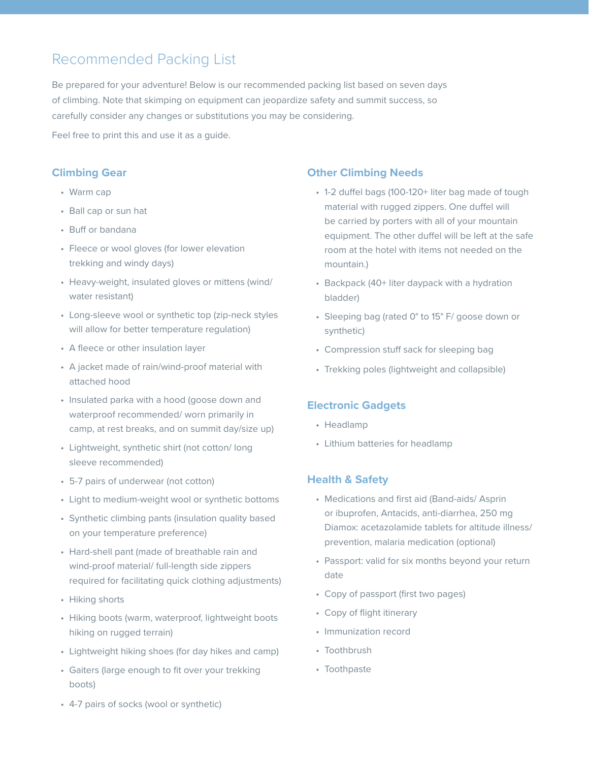## Recommended Packing List

Be prepared for your adventure! Below is our recommended packing list based on seven days of climbing. Note that skimping on equipment can jeopardize safety and summit success, so carefully consider any changes or substitutions you may be considering.

Feel free to print this and use it as a guide.

### **Climbing Gear**

- Warm cap
- Ball cap or sun hat
- Buff or bandana
- Fleece or wool gloves (for lower elevation trekking and windy days)
- Heavy-weight, insulated gloves or mittens (wind/ water resistant)
- Long-sleeve wool or synthetic top (zip-neck styles will allow for better temperature regulation)
- A fleece or other insulation layer
- A jacket made of rain/wind-proof material with attached hood
- Insulated parka with a hood (goose down and waterproof recommended/ worn primarily in camp, at rest breaks, and on summit day/size up)
- Lightweight, synthetic shirt (not cotton/ long sleeve recommended)
- 5-7 pairs of underwear (not cotton)
- Light to medium-weight wool or synthetic bottoms
- Synthetic climbing pants (insulation quality based on your temperature preference)
- Hard-shell pant (made of breathable rain and wind-proof material/ full-length side zippers required for facilitating quick clothing adjustments)
- Hiking shorts
- Hiking boots (warm, waterproof, lightweight boots hiking on rugged terrain)
- Lightweight hiking shoes (for day hikes and camp)
- Gaiters (large enough to fit over your trekking boots)

### **Other Climbing Needs**

- 1-2 duffel bags (100-120+ liter bag made of tough material with rugged zippers. One duffel will be carried by porters with all of your mountain equipment. The other duffel will be left at the safe room at the hotel with items not needed on the mountain.)
- Backpack (40+ liter daypack with a hydration bladder)
- Sleeping bag (rated 0° to 15° F/ goose down or synthetic)
- Compression stuff sack for sleeping bag
- Trekking poles (lightweight and collapsible)

### **Electronic Gadgets**

- Headlamp
- Lithium batteries for headlamp

### **Health & Safety**

- Medications and first aid (Band-aids/ Asprin or ibuprofen, Antacids, anti-diarrhea, 250 mg Diamox: acetazolamide tablets for altitude illness/ prevention, malaria medication (optional)
- Passport: valid for six months beyond your return date
- Copy of passport (first two pages)
- Copy of flight itinerary
- Immunization record
- Toothbrush
- Toothpaste

• 4-7 pairs of socks (wool or synthetic)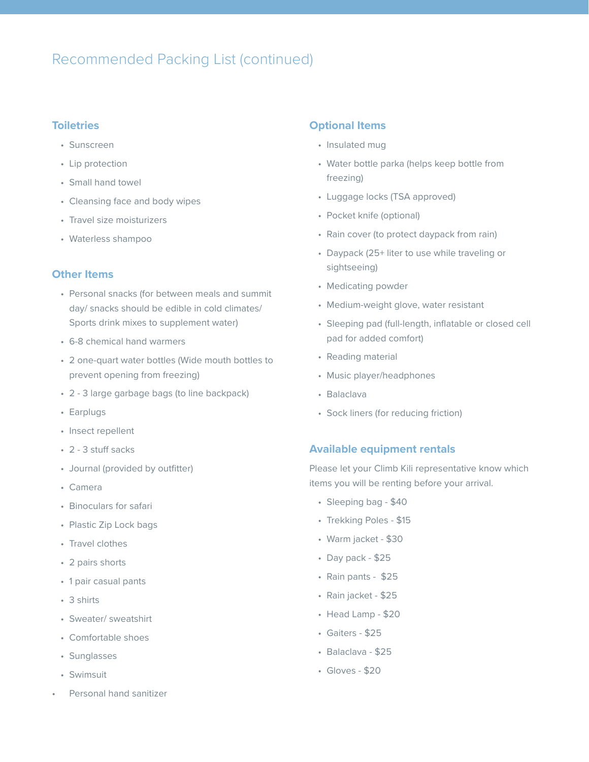### Recommended Packing List (continued)

### **Toiletries**

- Sunscreen
- Lip protection
- Small hand towel
- Cleansing face and body wipes
- Travel size moisturizers
- Waterless shampoo

#### **Other Items**

- Personal snacks (for between meals and summit day/ snacks should be edible in cold climates/ Sports drink mixes to supplement water)
- 6-8 chemical hand warmers
- 2 one-quart water bottles (Wide mouth bottles to prevent opening from freezing)
- 2 3 large garbage bags (to line backpack)
- Earplugs
- Insect repellent
- 2 3 stuff sacks
- Journal (provided by outfitter)
- Camera
- Binoculars for safari
- Plastic Zip Lock bags
- Travel clothes
- 2 pairs shorts
- 1 pair casual pants
- 3 shirts
- Sweater/ sweatshirt
- Comfortable shoes
- Sunglasses
- Swimsuit
- Personal hand sanitizer

#### **Optional Items**

- Insulated mug
- Water bottle parka (helps keep bottle from freezing)
- Luggage locks (TSA approved)
- Pocket knife (optional)
- Rain cover (to protect daypack from rain)
- Daypack (25+ liter to use while traveling or sightseeing)
- Medicating powder
- Medium-weight glove, water resistant
- Sleeping pad (full-length, inflatable or closed cell pad for added comfort)
- Reading material
- Music player/headphones
- Balaclava
- Sock liners (for reducing friction)

#### **Available equipment rentals**

Please let your Climb Kili representative know which items you will be renting before your arrival.

- Sleeping bag \$40
- Trekking Poles \$15
- Warm jacket \$30
- Day pack \$25
- Rain pants \$25
- Rain jacket \$25
- Head Lamp \$20
- Gaiters \$25
- Balaclava \$25
- Gloves \$20